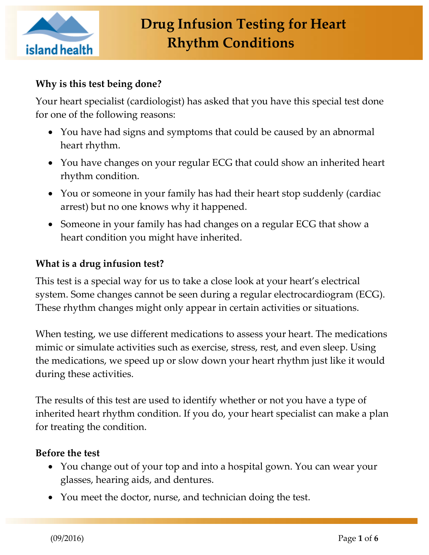

## **Why is this test being done?**

Your heart specialist (cardiologist) has asked that you have this special test done for one of the following reasons:

- You have had signs and symptoms that could be caused by an abnormal heart rhythm.
- You have changes on your regular ECG that could show an inherited heart rhythm condition.
- You or someone in your family has had their heart stop suddenly (cardiac arrest) but no one knows why it happened.
- Someone in your family has had changes on a regular ECG that show a heart condition you might have inherited.

#### **What is a drug infusion test?**

This test is a special way for us to take a close look at your heart's electrical system. Some changes cannot be seen during a regular electrocardiogram (ECG). These rhythm changes might only appear in certain activities or situations.

When testing, we use different medications to assess your heart. The medications mimic or simulate activities such as exercise, stress, rest, and even sleep. Using the medications, we speed up or slow down your heart rhythm just like it would during these activities.

The results of this test are used to identify whether or not you have a type of inherited heart rhythm condition. If you do, your heart specialist can make a plan for treating the condition.

#### **Before the test**

- You change out of your top and into a hospital gown. You can wear your glasses, hearing aids, and dentures.
- You meet the doctor, nurse, and technician doing the test.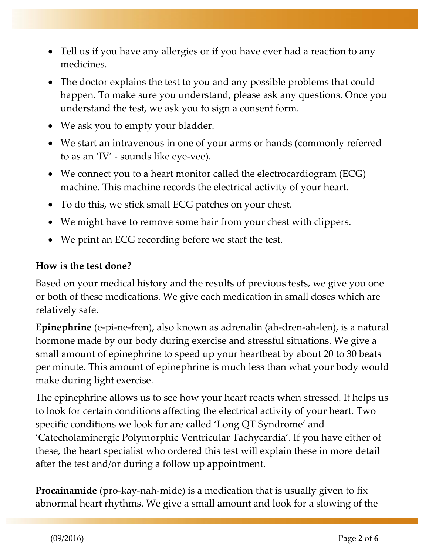- Tell us if you have any allergies or if you have ever had a reaction to any medicines.
- The doctor explains the test to you and any possible problems that could happen. To make sure you understand, please ask any questions. Once you understand the test, we ask you to sign a consent form.
- We ask you to empty your bladder.
- We start an intravenous in one of your arms or hands (commonly referred to as an 'IV' - sounds like eye-vee).
- We connect you to a heart monitor called the electrocardiogram (ECG) machine. This machine records the electrical activity of your heart.
- To do this, we stick small ECG patches on your chest.
- We might have to remove some hair from your chest with clippers.
- We print an ECG recording before we start the test.

#### **How is the test done?**

Based on your medical history and the results of previous tests, we give you one or both of these medications. We give each medication in small doses which are relatively safe.

**Epinephrine** (e-pi-ne-fren), also known as adrenalin (ah-dren-ah-len), is a natural hormone made by our body during exercise and stressful situations. We give a small amount of epinephrine to speed up your heartbeat by about 20 to 30 beats per minute. This amount of epinephrine is much less than what your body would make during light exercise.

The epinephrine allows us to see how your heart reacts when stressed. It helps us to look for certain conditions affecting the electrical activity of your heart. Two specific conditions we look for are called 'Long QT Syndrome' and 'Catecholaminergic Polymorphic Ventricular Tachycardia'. If you have either of these, the heart specialist who ordered this test will explain these in more detail after the test and/or during a follow up appointment.

**Procainamide** (pro-kay-nah-mide) is a medication that is usually given to fix abnormal heart rhythms. We give a small amount and look for a slowing of the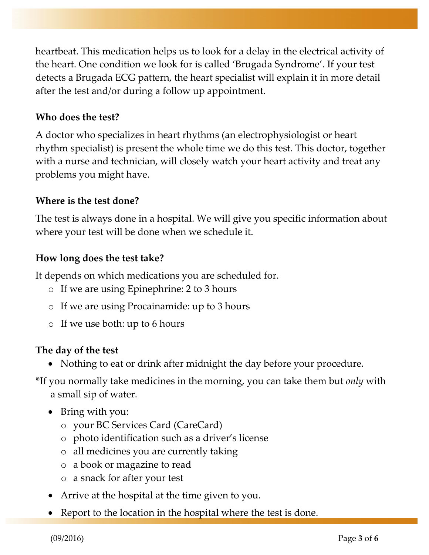heartbeat. This medication helps us to look for a delay in the electrical activity of the heart. One condition we look for is called 'Brugada Syndrome'. If your test detects a Brugada ECG pattern, the heart specialist will explain it in more detail after the test and/or during a follow up appointment.

### **Who does the test?**

A doctor who specializes in heart rhythms (an electrophysiologist or heart rhythm specialist) is present the whole time we do this test. This doctor, together with a nurse and technician, will closely watch your heart activity and treat any problems you might have.

### **Where is the test done?**

The test is always done in a hospital. We will give you specific information about where your test will be done when we schedule it.

### **How long does the test take?**

It depends on which medications you are scheduled for.

- o If we are using Epinephrine: 2 to 3 hours
- o If we are using Procainamide: up to 3 hours
- o If we use both: up to 6 hours

## **The day of the test**

- Nothing to eat or drink after midnight the day before your procedure.
- **\***If you normally take medicines in the morning, you can take them but *only* with a small sip of water.
	- Bring with you:
		- o your BC Services Card (CareCard)
		- o photo identification such as a driver's license
		- o all medicines you are currently taking
		- o a book or magazine to read
		- o a snack for after your test
	- Arrive at the hospital at the time given to you.
	- Report to the location in the hospital where the test is done.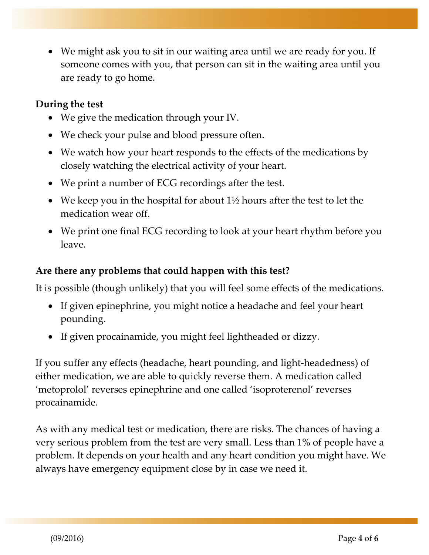We might ask you to sit in our waiting area until we are ready for you. If someone comes with you, that person can sit in the waiting area until you are ready to go home.

#### **During the test**

- We give the medication through your IV.
- We check your pulse and blood pressure often.
- We watch how your heart responds to the effects of the medications by closely watching the electrical activity of your heart.
- We print a number of ECG recordings after the test.
- We keep you in the hospital for about  $1\frac{1}{2}$  hours after the test to let the medication wear off.
- We print one final ECG recording to look at your heart rhythm before you leave.

### **Are there any problems that could happen with this test?**

It is possible (though unlikely) that you will feel some effects of the medications.

- If given epinephrine, you might notice a headache and feel your heart pounding.
- If given procainamide, you might feel lightheaded or dizzy.

If you suffer any effects (headache, heart pounding, and light-headedness) of either medication, we are able to quickly reverse them. A medication called 'metoprolol' reverses epinephrine and one called 'isoproterenol' reverses procainamide.

As with any medical test or medication, there are risks. The chances of having a very serious problem from the test are very small. Less than 1% of people have a problem. It depends on your health and any heart condition you might have. We always have emergency equipment close by in case we need it.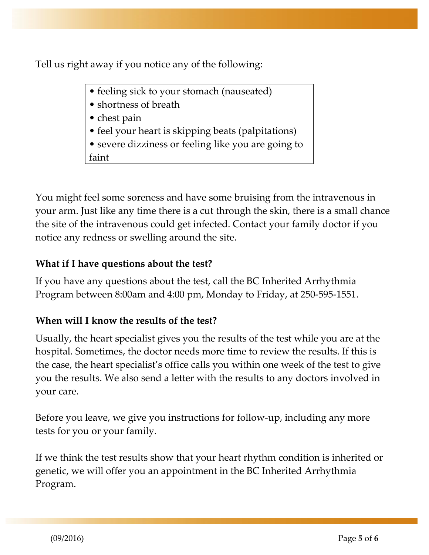Tell us right away if you notice any of the following:

- feeling sick to your stomach (nauseated)
- shortness of breath
- chest pain
- feel your heart is skipping beats (palpitations)
- severe dizziness or feeling like you are going to faint

You might feel some soreness and have some bruising from the intravenous in your arm. Just like any time there is a cut through the skin, there is a small chance the site of the intravenous could get infected. Contact your family doctor if you notice any redness or swelling around the site.

### **What if I have questions about the test?**

If you have any questions about the test, call the BC Inherited Arrhythmia Program between 8:00am and 4:00 pm, Monday to Friday, at 250-595-1551.

## **When will I know the results of the test?**

Usually, the heart specialist gives you the results of the test while you are at the hospital. Sometimes, the doctor needs more time to review the results. If this is the case, the heart specialist's office calls you within one week of the test to give you the results. We also send a letter with the results to any doctors involved in your care.

Before you leave, we give you instructions for follow-up, including any more tests for you or your family.

If we think the test results show that your heart rhythm condition is inherited or genetic, we will offer you an appointment in the BC Inherited Arrhythmia Program.